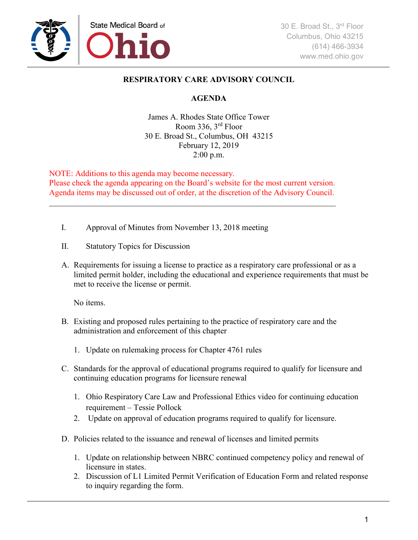

## **RESPIRATORY CARE ADVISORY COUNCIL**

## **AGENDA**

James A. Rhodes State Office Tower Room 336, 3rd Floor 30 E. Broad St., Columbus, OH 43215 February 12, 2019 2:00 p.m.

NOTE: Additions to this agenda may become necessary. Please check the agenda appearing on the Board's website for the most current version. Agenda items may be discussed out of order, at the discretion of the Advisory Council.

\_\_\_\_\_\_\_\_\_\_\_\_\_\_\_\_\_\_\_\_\_\_\_\_\_\_\_\_\_\_\_\_\_\_\_\_\_\_\_\_\_\_\_\_\_\_\_\_\_\_\_\_\_\_\_\_\_\_\_\_\_\_\_\_\_\_\_\_\_\_

- I. Approval of Minutes from November 13, 2018 meeting
- II. Statutory Topics for Discussion
- A. Requirements for issuing a license to practice as a respiratory care professional or as a limited permit holder, including the educational and experience requirements that must be met to receive the license or permit.

No items.

- B. Existing and proposed rules pertaining to the practice of respiratory care and the administration and enforcement of this chapter
	- 1. Update on rulemaking process for Chapter 4761 rules
- C. Standards for the approval of educational programs required to qualify for licensure and continuing education programs for licensure renewal
	- 1. Ohio Respiratory Care Law and Professional Ethics video for continuing education requirement – Tessie Pollock
	- 2. Update on approval of education programs required to qualify for licensure.
- D. Policies related to the issuance and renewal of licenses and limited permits
	- 1. Update on relationship between NBRC continued competency policy and renewal of licensure in states.
	- 2. Discussion of L1 Limited Permit Verification of Education Form and related response to inquiry regarding the form.